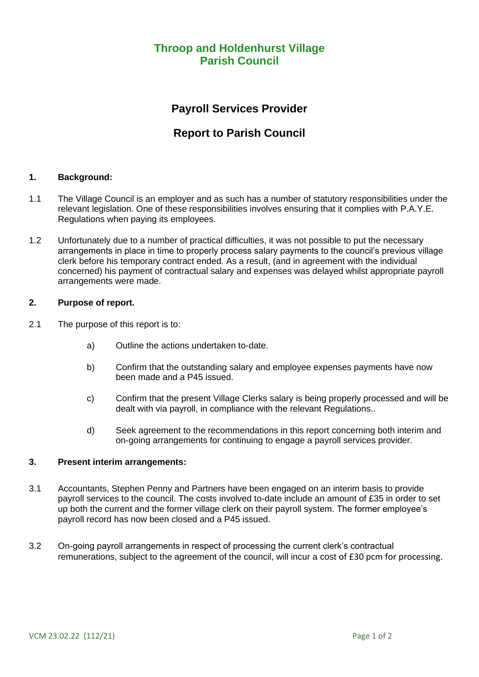## **Throop and Holdenhurst Village Parish Council**

### **Payroll Services Provider**

### **Report to Parish Council**

#### **1. Background:**

- 1.1 The Village Council is an employer and as such has a number of statutory responsibilities under the relevant legislation. One of these responsibilities involves ensuring that it complies with P.A.Y.E. Regulations when paying its employees.
- 1.2 Unfortunately due to a number of practical difficulties, it was not possible to put the necessary arrangements in place in time to properly process salary payments to the council's previous village clerk before his temporary contract ended. As a result, (and in agreement with the individual concerned) his payment of contractual salary and expenses was delayed whilst appropriate payroll arrangements were made.

#### **2. Purpose of report.**

- 2.1 The purpose of this report is to:
	- a) Outline the actions undertaken to-date.
	- b) Confirm that the outstanding salary and employee expenses payments have now been made and a P45 issued.
	- c) Confirm that the present Village Clerks salary is being properly processed and will be dealt with via payroll, in compliance with the relevant Regulations..
	- d) Seek agreement to the recommendations in this report concerning both interim and on-going arrangements for continuing to engage a payroll services provider.

#### **3. Present interim arrangements:**

- 3.1 Accountants, Stephen Penny and Partners have been engaged on an interim basis to provide payroll services to the council. The costs involved to-date include an amount of £35 in order to set up both the current and the former village clerk on their payroll system. The former employee's payroll record has now been closed and a P45 issued.
- 3.2 On-going payroll arrangements in respect of processing the current clerk's contractual remunerations, subject to the agreement of the council, will incur a cost of £30 pcm for processing.